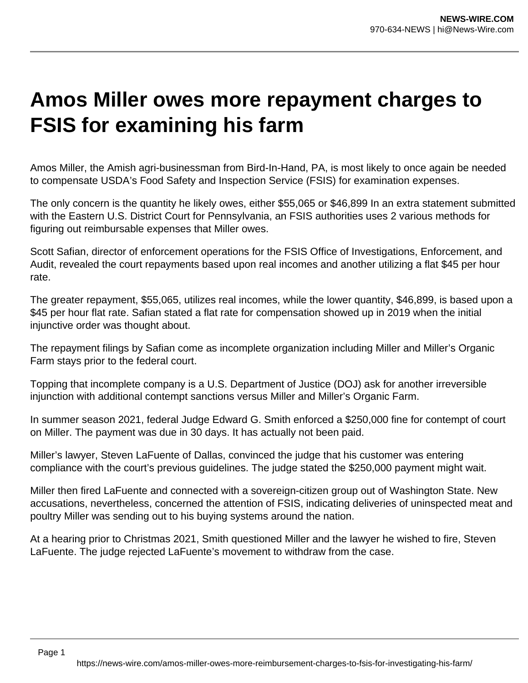## **Amos Miller owes more repayment charges to FSIS for examining his farm**

Amos Miller, the Amish agri-businessman from Bird-In-Hand, PA, is most likely to once again be needed to compensate USDA's Food Safety and Inspection Service (FSIS) for examination expenses.

The only concern is the quantity he likely owes, either \$55,065 or \$46,899 In an extra statement submitted with the Eastern U.S. District Court for Pennsylvania, an FSIS authorities uses 2 various methods for figuring out reimbursable expenses that Miller owes.

Scott Safian, director of enforcement operations for the FSIS Office of Investigations, Enforcement, and Audit, revealed the court repayments based upon real incomes and another utilizing a flat \$45 per hour rate.

The greater repayment, \$55,065, utilizes real incomes, while the lower quantity, \$46,899, is based upon a \$45 per hour flat rate. Safian stated a flat rate for compensation showed up in 2019 when the initial injunctive order was thought about.

The repayment filings by Safian come as incomplete organization including Miller and Miller's Organic Farm stays prior to the federal court.

Topping that incomplete company is a U.S. Department of Justice (DOJ) ask for another irreversible injunction with additional contempt sanctions versus Miller and Miller's Organic Farm.

In summer season 2021, federal Judge Edward G. Smith enforced a \$250,000 fine for contempt of court on Miller. The payment was due in 30 days. It has actually not been paid.

Miller's lawyer, Steven LaFuente of Dallas, convinced the judge that his customer was entering compliance with the court's previous guidelines. The judge stated the \$250,000 payment might wait.

Miller then fired LaFuente and connected with a sovereign-citizen group out of Washington State. New accusations, nevertheless, concerned the attention of FSIS, indicating deliveries of uninspected meat and poultry Miller was sending out to his buying systems around the nation.

At a hearing prior to Christmas 2021, Smith questioned Miller and the lawyer he wished to fire, Steven LaFuente. The judge rejected LaFuente's movement to withdraw from the case.